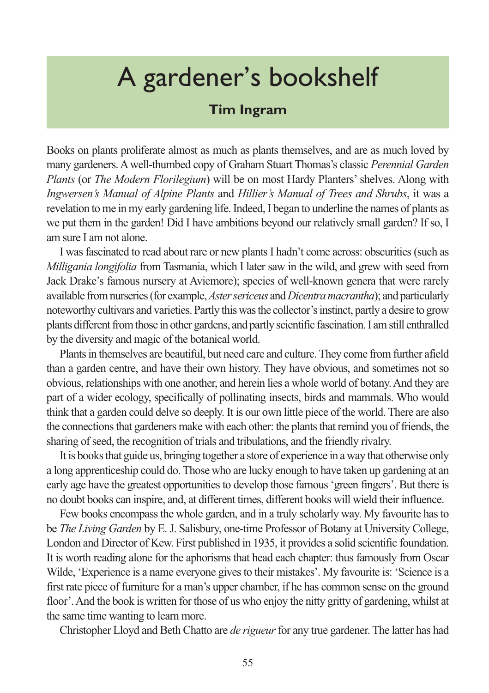## A gardener's bookshelf

## **Tim Ingram**

Books on plants proliferate almost as much as plants themselves, and are as much loved by many gardeners. A well-thumbed copy of Graham Stuart Thomas's classic *Perennial Garden Plants* (or *The Modern Florilegium*) will be on most Hardy Planters' shelves. Along with *Ingwersen's Manual of Alpine Plants* and *Hillier's Manual of Trees and Shrubs*, it was a revelation to me in my early gardening life. Indeed, I began to underline the names of plants as we put them in the garden! Did I have ambitions beyond our relatively small garden? If so, I am sure I am not alone.

I was fascinated to read about rare or new plants I hadn't come across: obscurities (such as *Milligania longifolia* from Tasmania, which I later saw in the wild, and grew with seed from Jack Drake's famous nursery at Aviemore); species of well-known genera that were rarely available from nurseries (for example, *Aster sericeus* and *Dicentra macrantha*); and particularly noteworthy cultivars and varieties. Partly this was the collector's instinct, partly a desire to grow plants different from those in other gardens, and partly scientific fascination. I am still enthralled by the diversity and magic of the botanical world.

Plants in themselves are beautiful, but need care and culture. They come from further afield than a garden centre, and have their own history. They have obvious, and sometimes not so obvious, relationships with one another, and herein lies a whole world of botany. And they are part of a wider ecology, specifically of pollinating insects, birds and mammals. Who would think that a garden could delve so deeply. It is our own little piece of the world. There are also the connections that gardeners make with each other: the plants that remind you of friends, the sharing of seed, the recognition of trials and tribulations, and the friendly rivalry.

It is books that guide us, bringing together a store of experience in a way that otherwise only a long apprenticeship could do. Those who are lucky enough to have taken up gardening at an early age have the greatest opportunities to develop those famous 'green fingers'. But there is no doubt books can inspire, and, at different times, different books will wield their influence.

Few books encompass the whole garden, and in a truly scholarly way. My favourite has to be *The Living Garden* by E. J. Salisbury, one-time Professor of Botany at University College, London and Director of Kew. First published in 1935, it provides a solid scientific foundation. It is worth reading alone for the aphorisms that head each chapter: thus famously from Oscar Wilde, 'Experience is a name everyone gives to their mistakes'. My favourite is: 'Science is a first rate piece of furniture for a man's upper chamber, if he has common sense on the ground floor'. And the book is written for those of us who enjoy the nitty gritty of gardening, whilst at the same time wanting to learn more.

Christopher Lloyd and Beth Chatto are *de rigueur* for any true gardener. The latter has had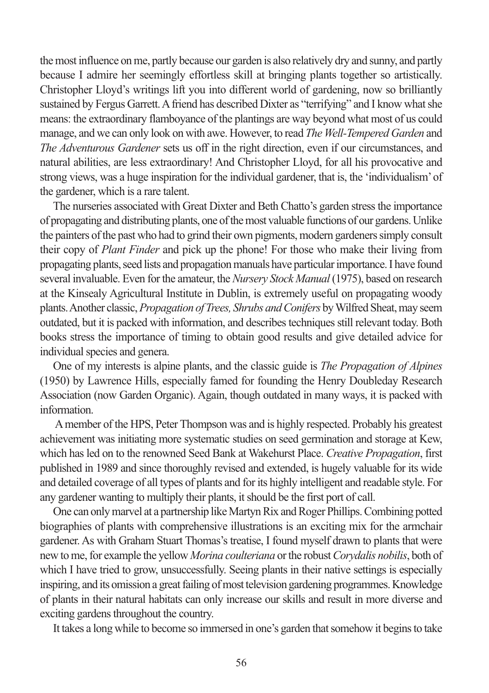the most influence on me, partly because our garden is also relatively dry and sunny, and partly because I admire her seemingly effortless skill at bringing plants together so artistically. Christopher Lloyd's writings lift you into different world of gardening, now so brilliantly sustained by Fergus Garrett. A friend has described Dixter as "terrifying" and I know what she means: the extraordinary flamboyance of the plantings are way beyond what most of us could manage, and we can only look on with awe. However, to read *The Well-Tempered Garden* and *The Adventurous Gardener* sets us off in the right direction, even if our circumstances, and natural abilities, are less extraordinary! And Christopher Lloyd, for all his provocative and strong views, was a huge inspiration for the individual gardener, that is, the 'individualism' of the gardener, which is a rare talent.

The nurseries associated with Great Dixter and Beth Chatto's garden stress the importance of propagating and distributing plants, one of the most valuable functions of our gardens. Unlike the painters of the past who had to grind their own pigments, modern gardeners simply consult their copy of *Plant Finder* and pick up the phone! For those who make their living from propagating plants, seed lists and propagation manuals have particular importance. I have found several invaluable. Even for the amateur, the *Nursery Stock Manual*(1975), based on research at the Kinsealy Agricultural Institute in Dublin, is extremely useful on propagating woody plants. Another classic, *Propagation of Trees, Shrubs and Conifers* by Wilfred Sheat, may seem outdated, but it is packed with information, and describes techniques still relevant today. Both books stress the importance of timing to obtain good results and give detailed advice for individual species and genera.

One of my interests is alpine plants, and the classic guide is *The Propagation of Alpines* (1950) by Lawrence Hills, especially famed for founding the Henry Doubleday Research Association (now Garden Organic). Again, though outdated in many ways, it is packed with information.

A member of the HPS, Peter Thompson was and is highly respected. Probably his greatest achievement was initiating more systematic studies on seed germination and storage at Kew, which has led on to the renowned Seed Bank at Wakehurst Place. *Creative Propagation*, first published in 1989 and since thoroughly revised and extended, is hugely valuable for its wide and detailed coverage of all types of plants and for its highly intelligent and readable style. For any gardener wanting to multiply their plants, it should be the first port of call.

One can only marvel at a partnership like Martyn Rix and Roger Phillips. Combining potted biographies of plants with comprehensive illustrations is an exciting mix for the armchair gardener. As with Graham Stuart Thomas's treatise, I found myself drawn to plants that were new to me, for example the yellow *Morina coulteriana* or the robust *Corydalis nobilis*, both of which I have tried to grow, unsuccessfully. Seeing plants in their native settings is especially inspiring, and its omission a great failing of most television gardening programmes. Knowledge of plants in their natural habitats can only increase our skills and result in more diverse and exciting gardens throughout the country.

It takes a long while to become so immersed in one's garden that somehow it begins to take